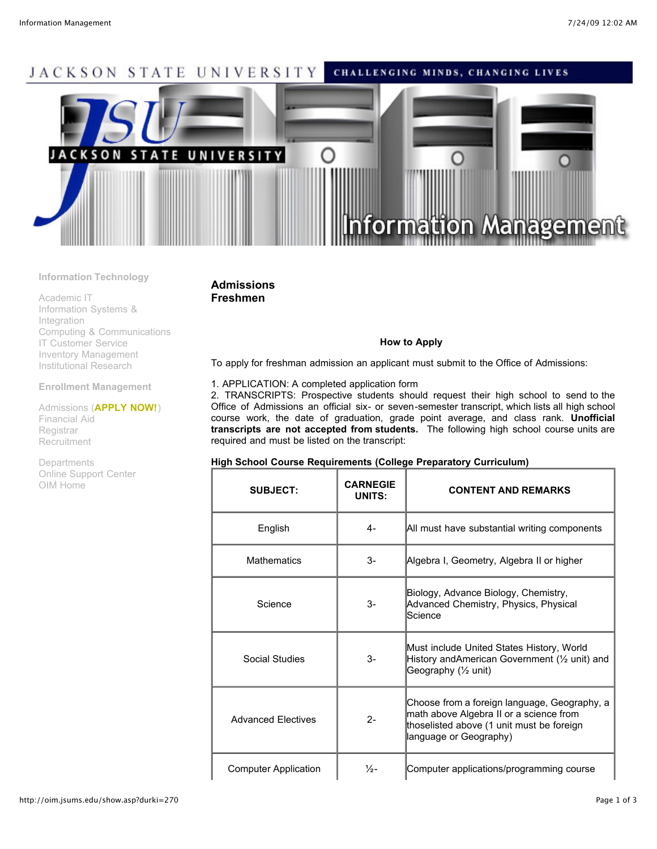# JACKSON STATE UNIVERSITY CHALLENGING MINDS, CHANGING LIVES **JACKSON** S Α E UNIV ERSIT mation Man

**Information Technology**

[Academic IT](http://oim.jsums.edu/show.asp?durki=100) [Information Systems &](http://oim.jsums.edu/show.asp?durki=101) Integration [Computing & Communications](http://oim.jsums.edu/show.asp?durki=113) [IT Customer Service](http://oim.jsums.edu/show.asp?durki=103) [Inventory Management](http://oim.jsums.edu/show.asp?durki=269) [Institutional Research](http://oim.jsums.edu/show.asp?durki=104)

**Enrollment Management**

[Admissions](http://oim.jsums.edu/show.asp?durki=105) (**[APPLY NOW!](https://osiris.jsums.edu:4446/pls/PROD/bwskalog.P_DispLoginNon)**) [Financial Aid](http://oim.jsums.edu/show.asp?durki=106) [Registrar](http://oim.jsums.edu/show.asp?durki=107) [Recruitment](http://oim.jsums.edu/show.asp?durki=108)

[Departments](http://oim.jsums.edu/show.asp?durki=112) [Online Support Center](https://www2.jsums.edu/webtasks) [OIM Home](http://oim.jsums.edu/show.asp?durki=99)

# **Admissions Freshmen**

## **How to Apply**

To apply for freshman admission an applicant must submit to the Office of Admissions:

### 1. APPLICATION: A completed application form

2. TRANSCRIPTS: Prospective students should request their high school to send to the Office of Admissions an official six- or seven-semester transcript, which lists all high school course work, the date of graduation, grade point average, and class rank. **Unofficial transcripts are not accepted from students.** The following high school course units are required and must be listed on the transcript:

| High School Course Requirements (College Preparatory Curriculum) |  |  |  |
|------------------------------------------------------------------|--|--|--|
|------------------------------------------------------------------|--|--|--|

| <b>SUBJECT:</b>             | <b>CARNEGIE</b><br>UNITS: | <b>CONTENT AND REMARKS</b>                                                                                                                                     |
|-----------------------------|---------------------------|----------------------------------------------------------------------------------------------------------------------------------------------------------------|
| English                     | 4-                        | All must have substantial writing components                                                                                                                   |
| <b>Mathematics</b>          | $3-$                      | Algebra I, Geometry, Algebra II or higher                                                                                                                      |
| Science                     | $3-$                      | Biology, Advance Biology, Chemistry,<br>Advanced Chemistry, Physics, Physical<br>Science                                                                       |
| Social Studies              | $3-$                      | Must include United States History, World<br>History and American Government (1/2 unit) and<br>Geography (1/ <sub>2</sub> unit)                                |
| <b>Advanced Electives</b>   | $2 -$                     | Choose from a foreign language, Geography, a<br>math above Algebra II or a science from<br>thoselisted above (1 unit must be foreign<br>language or Geography) |
| <b>Computer Application</b> | $\frac{1}{2}$ -           | Computer applications/programming course                                                                                                                       |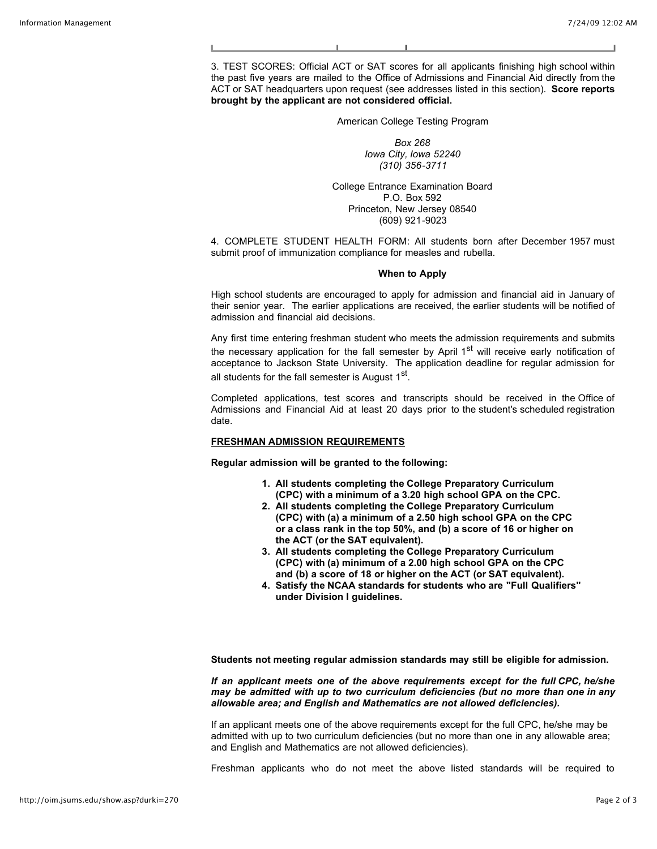3. TEST SCORES: Official ACT or SAT scores for all applicants finishing high school within the past five years are mailed to the Office of Admissions and Financial Aid directly from the ACT or SAT headquarters upon request (see addresses listed in this section). **Score reports brought by the applicant are not considered official.**

American College Testing Program

*Box 268 Iowa City, Iowa 52240 (310) 356-3711*

College Entrance Examination Board P.O. Box 592 Princeton, New Jersey 08540 (609) 921-9023

4. COMPLETE STUDENT HEALTH FORM: All students born after December 1957 must submit proof of immunization compliance for measles and rubella.

#### **When to Apply**

High school students are encouraged to apply for admission and financial aid in January of their senior year. The earlier applications are received, the earlier students will be notified of admission and financial aid decisions.

Any first time entering freshman student who meets the admission requirements and submits the necessary application for the fall semester by April  $1<sup>st</sup>$  will receive early notification of acceptance to Jackson State University. The application deadline for regular admission for all students for the fall semester is August  $1<sup>st</sup>$ .

Completed applications, test scores and transcripts should be received in the Office of Admissions and Financial Aid at least 20 days prior to the student's scheduled registration date.

#### **FRESHMAN ADMISSION REQUIREMENTS**

**Regular admission will be granted to the following:**

- **1. All students completing the College Preparatory Curriculum (CPC) with a minimum of a 3.20 high school GPA on the CPC.**
- **2. All students completing the College Preparatory Curriculum (CPC) with (a) a minimum of a 2.50 high school GPA on the CPC or a class rank in the top 50%, and (b) a score of 16 or higher on the ACT (or the SAT equivalent).**
- **3. All students completing the College Preparatory Curriculum (CPC) with (a) minimum of a 2.00 high school GPA on the CPC and (b) a score of 18 or higher on the ACT (or SAT equivalent).**
- **4. Satisfy the NCAA standards for students who are "Full Qualifiers" under Division I guidelines.**

**Students not meeting regular admission standards may still be eligible for admission.**

*If an applicant meets one of the above requirements except for the full CPC, he/she may be admitted with up to two curriculum deficiencies (but no more than one in any allowable area; and English and Mathematics are not allowed deficiencies).*

If an applicant meets one of the above requirements except for the full CPC, he/she may be admitted with up to two curriculum deficiencies (but no more than one in any allowable area; and English and Mathematics are not allowed deficiencies).

Freshman applicants who do not meet the above listed standards will be required to